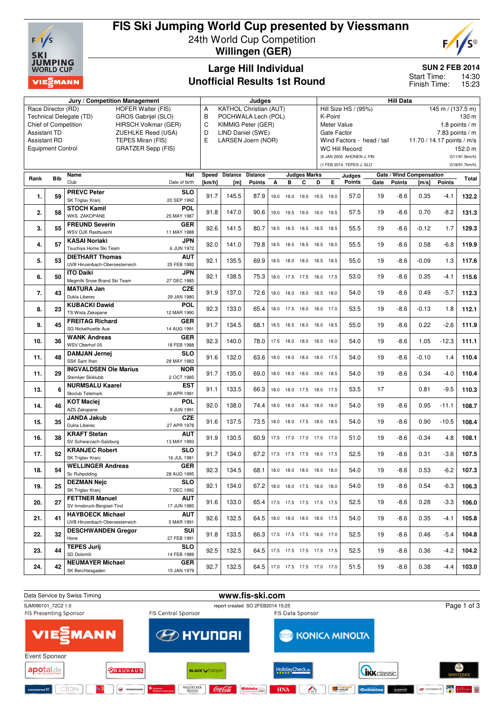

### **FIS Ski Jumping World Cup presented by Viessmann** 24th World Cup Competition

**Willingen (GER)**



**SUN 2 FEB 2014**

14:30 15:23 Start Time: Finish Time:

# **Large Hill Individual Unofficial Results 1st Round**

**Jury / Competition Management Judges Hill Data** Race Director (RD) HOFER Walter (FIS) Technical Delegate (TD) GROS Gabrijel (SLO)<br>Chief of Competition HIRSCH Volkmar (GF HIRSCH Volkmar (GER) Assistant TD ZUEHLKE Reed (USA) Assistant RD TEPES Miran (FIS) Equipment Control GRATZER Sepp (FIS) A KATHOL Christian (AUT) B POCHWALA Lech (POL)<br>C KIMMIG Peter (GFR) KIMMIG Peter (GFR) D LIND Daniel (SWE) E LARSEN Joern (NOR) Hill Size HS / (95%) 145 m / (137.5 m) K-Point 130 m<br>Meter Value 18 points / m 1.8 points  $/m$ Gate Factor 7.83 points / m Wind Factors - head / tail 11.70 / 14.17 points / m/s WC Hill Record 152.0 m (9 JAN 2005 AHONEN J. FIN G11/91.5km/h) (1 FEB 2014 TEPES J. SLO G18/91.7km/h) **Rank Bib Name** Club **Nat** Date of birth **Speed Distance Distance [km/h] [m] Points Judges Marks A B C D E Judges Points Gate / Wind Compensation Gate Points [m/s] Points Total 1. 59 PREVC Peter** SK Triglav Kranj **SLO** 20 SEP 1992 91.7 145.5 87.9 19.0 19.0 19.0 19.5 19.0 57.0 19 -8.6 0.35 -4.1 **132.2 2. 58 STOCH Kamil** WKS ZAKOPANE **POL** 25 MAY 1987 91.8 147.0 90.6 19.0 19.5 19.0 19.0 19.5 57.5 19 -8.6 0.70 -8.2 **131.3 3. 55 FREUND Severin** WSV DJK Rastbuechl **GER** 11 MAY 1988 92.6 141.5 80.7 18.5 18.5 18.5 18.5 18.5 55.5 19 -8.6 -0.12 1.7 **129.3 4. 57 KASAI Noriaki** Tsuchiya Home Ski Team **JPN** 6 JUN 1972 92.0 141.0 79.8 18.5 18.5 18.5 18.5 18.0 55.5 19 -8.6 0.58 -6.8 **119.9 5. 53 DIETHART Thomas** UVB Hinzenbach-Oberoesterreich **AUT** 25 FEB 1992 92.1 135.5 69.9 18.5 18.0 18.0 18.5 18.5 55.0 19 -8.6 -0.09 1.3 **117.6 6. 50 ITO Daiki** Megmilk Snow Brand Ski Team **JPN** 27 DEC 1985 92.1 138.5 75.3 18.0 17.5 17.5 18.0 17.5 53.0 19 -8.6 0.35 -4.1 **115.6 7. 43 MATURA Jan** Dukla Libere **CZE** 29 JAN 1980 91.9 137.0 72.6 18.0 18.0 18.0 18.5 18.0 54.0 19 -8.6 0.49 -5.7 **112.3 8. 23 KUBACKI Dawid** TS Wisla Zakopane **POL** 12 MAR 1990 92.3 133.0 65.4 18.0 17.5 18.0 18.0 17.0 53.5 19 -8.6 -0.13 1.8 **112.1 9. 45 FREITAG Richard** SG Nickelhuette Aue **GER** 14 AUG 1991 91.7 134.5 68.1 18.5 18.5 18.0 18.0 18.5 55.0 19 -8.6 0.22 -2.6 **111.9 10. 36 WANK Andreas** WSV Oberhof 05 **GER** 18 FEB 1988 92.3 140.0 78.0 17.5 18.0 18.0 18.0 18.0 54.0 19 -8.6 1.05 -12.3 **111.1 11. 48 DAMJAN Jernej** CCK Cam Ihan **SLO** 28 MAY 1983 91.6 132.0 63.6 18.0 18.0 18.0 18.0 17.5 54.0 19 -8.6 -0.10 1.4 **110.4 11. 29 INGVALDSEN Ole Marius** Steinkier Skiklubb **NOR** 2 OCT 1985 91.7 135.0 69.0 18.0 18.0 18.0 18.0 18.5 54.0 19 -8.6 0.34 -4.0 **110.4 13. 6 NURMSALU Kaarel** Skiclub Telemark **EST** 30 APR 1991 91.1 133.5 66.3 18.0 18.0 17.5 18.0 17.5 53.5 17 0.81 -9.5 **110.3 14. 46 KOT Maciej** AZS Zakopane **POL** 9 JUN 1991 92.0 138.0 74.4 18.0 18.0 18.0 18.0 18.0 54.0 19 -8.6 0.95 -11.1 **108.7 15. 35 JANDA Jakub** Dukla Liberec **CZE** 27 APR 1978 91.6 137.5 73.5 18.0 18.0 17.5 18.0 18.5 54.0 19 -8.6 0.90 -10.5 **108.4 16. 38 KRAFT Stefan** SV Schwarzach-Salzburg **AUT** 13 MAY 1993 91.9 130.5 60.9 17.5 17.0 17.0 17.0 17.0 51.0 19 -8.6 -0.34 4.8 **108.1 17. 52 KRANJEC Robert** SK Triglav Krani **SLO** 16 JUL 1981 91.7 134.0 67.2 17.5 17.5 17.5 18.0 17.5 52.5 19 -8.6 0.31 -3.6 **107.5 18. 54 WELLINGER Andreas** Sc Ruhpolding **GER** 28 AUG 1995 92.3 134.5 68.1 18.0 18.0 18.0 18.0 18.0 54.0 19 -8.6 0.53 -6.2 **107.3 19. 25 DEZMAN Nejc** SK Triglav Kran **SLO** 7 DEC 1992 92.1 134.0 67.2 18.0 18.0 17.5 18.0 18.0 54.0 19 -8.6 0.54 -6.3 **106.3 20. 27 FETTNER Manuel** SV Innsbruck-Bergisel-Tirol **AUT** 17 JUN 1985 91.6 133.0 65.4 17.5 17.5 17.5 17.5 17.5 52.5 19 -8.6 0.28 -3.3 **106.0 21. 41 HAYBOECK Michael** UVB Hinzenbach-Oberoesterreich **AUT** 5 MAR 1991 92.6 132.5 64.5 18.0 18.0 18.0 18.0 17.5 54.0 19 -8.6 0.35 -4.1 **105.8 22. 32 DESCHWANDEN Gregor** Horw **SUI** 27 FEB 1991 91.8 133.5 66.3 17.5 17.5 17.5 18.0 17.0 52.5 19 -8.6 0.46 -5.4 **104.8 23. 44 TEPES Jurij** SD Dolomiti **SLO** 14 FEB 1989 92.5 132.5 64.5 17.5 17.5 17.5 17.5 17.5 52.5 19 -8.6 0.36 -4.2 **104.2 24. 42 NEUMAYER Michael** SK Berchtesgaden **GER** 15 JAN 1979 92.7 132.5 64.5 17.0 17.5 17.5 17.0 17.0 51.5 19 -8.6 0.38 -4.4 **103.0**

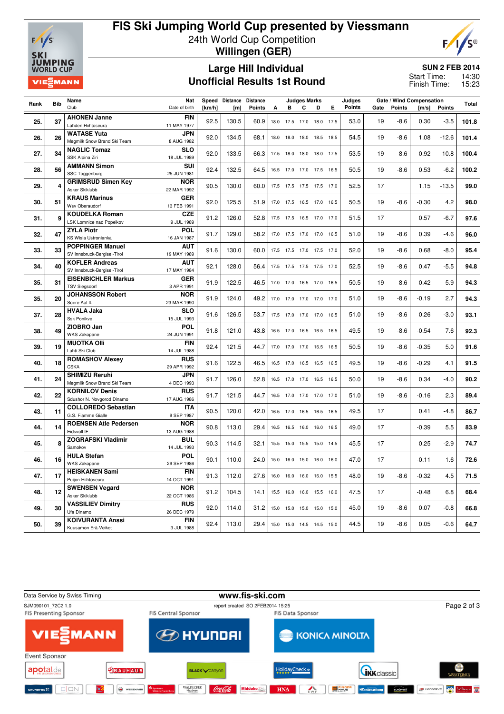

# **FIS Ski Jumping World Cup presented by Viessmann** 24th World Cup Competition **Willingen (GER)**



### **Large Hill Individual Unofficial Results 1st Round**

**SUN 2 FEB 2014**

14:30 15:23 Start Time: Finish Time:

| Rank | <b>Bib</b> | Name                                               | <b>Nat</b><br>Speed<br><b>Distance</b><br><b>Distance</b><br><b>Judges Marks</b> |        |       |               |      |                          |                          | Judges         | Gate / Wind Compensation |               |      |               | Total   |               |       |
|------|------------|----------------------------------------------------|----------------------------------------------------------------------------------|--------|-------|---------------|------|--------------------------|--------------------------|----------------|--------------------------|---------------|------|---------------|---------|---------------|-------|
|      |            | Club                                               | Date of birth                                                                    | [km/h] | [m]   | <b>Points</b> | A    | в                        | C                        | D              | E                        | <b>Points</b> | Gate | <b>Points</b> | [m/s]   | <b>Points</b> |       |
|      |            | <b>AHONEN Janne</b>                                | <b>FIN</b>                                                                       |        |       | 60.9          |      |                          |                          |                |                          |               | 19   |               |         |               |       |
| 25.  | 37         | Lahden Hiihtoseura                                 | 11 MAY 1977                                                                      | 92.5   | 130.5 |               |      | 18.0 17.5                | 17.0 18.0 17.5           |                |                          | 53.0          |      | $-8.6$        | 0.30    | $-3.5$        | 101.8 |
| 26.  | 26         | <b>WATASE Yuta</b>                                 | <b>JPN</b>                                                                       | 92.0   | 134.5 | 68.1          |      | 18.0 18.0 18.0 18.5 18.5 |                          |                |                          | 54.5          | 19   | $-8.6$        | 1.08    | $-12.6$       | 101.4 |
|      |            | Megmilk Snow Brand Ski Team                        | 8 AUG 1982                                                                       |        |       |               |      |                          |                          |                |                          |               |      |               |         |               |       |
| 27.  | 34         | <b>NAGLIC Tomaz</b>                                | <b>SLO</b>                                                                       | 92.0   | 133.5 | 66.3          | 17.5 | 18.0                     | 18.0 18.0 17.5           |                |                          | 53.5          | 19   | $-8.6$        | 0.92    | $-10.8$       | 100.4 |
|      |            | SSK Alpina Ziri                                    | 18 JUL 1989                                                                      |        |       |               |      |                          |                          |                |                          |               |      |               |         |               |       |
| 28.  | 56         | <b>AMMANN Simon</b>                                | SUI                                                                              | 92.4   | 132.5 | 64.5          |      |                          | 16.5 17.0 17.0 17.5 16.5 |                |                          | 50.5          | 19   | $-8.6$        | 0.53    | $-6.2$        | 100.2 |
|      |            | <b>SSC Toggenburg</b>                              | 25 JUN 1981                                                                      |        |       |               |      |                          |                          |                |                          |               |      |               |         |               |       |
| 29.  | 4          | <b>GRIMSRUD Simen Key</b><br>Asker Skiklubb        | <b>NOR</b><br>22 MAR 1992                                                        | 90.5   | 130.0 | 60.0          |      |                          | 17.5 17.5 17.5 17.5 17.0 |                |                          | 52.5          | 17   |               | 1.15    | $-13.5$       | 99.0  |
|      |            | <b>KRAUS Marinus</b>                               | <b>GER</b>                                                                       |        |       |               |      |                          |                          |                |                          |               |      |               |         |               |       |
| 30.  | 51         | <b>Wsv Oberaudorf</b>                              | 13 FEB 1991                                                                      | 92.0   | 125.5 | 51.9          |      |                          | 17.0 17.5 16.5 17.0 16.5 |                |                          | 50.5          | 19   | $-8.6$        | $-0.30$ | 4.2           | 98.0  |
|      |            | <b>KOUDELKA Roman</b>                              | <b>CZE</b>                                                                       |        |       |               |      |                          |                          |                |                          |               |      |               |         |               |       |
| 31.  | 9          | <b>LSK Lomnice nad Popelkov</b>                    | 9 JUL 1989                                                                       | 91.2   | 126.0 | 52.8          |      | 17.5 17.5                | 16.5 17.0 17.0           |                |                          | 51.5          | 17   |               | 0.57    | $-6.7$        | 97.6  |
| 32.  | 47         | <b>ZYLA Piotr</b>                                  | POL                                                                              | 91.7   | 129.0 | 58.2          |      |                          |                          |                |                          |               | 19   |               | 0.39    | $-4.6$        | 96.0  |
|      |            | KS Wisla Ustronianka                               | 16 JAN 1987                                                                      |        |       |               |      | 17.0 17.5                | 17.0 17.0 16.5           |                |                          | 51.0          |      | $-8.6$        |         |               |       |
| 33.  | 33         | <b>POPPINGER Manuel</b>                            | <b>AUT</b>                                                                       | 91.6   | 130.0 | 60.0          |      |                          | 17.5 17.5 17.0 17.5 17.0 |                |                          | 52.0          | 19   | $-8.6$        | 0.68    | $-8.0$        | 95.4  |
|      |            | SV Innsbruck-Bergisel-Tirol                        | 19 MAY 1989                                                                      |        |       |               |      |                          |                          |                |                          |               |      |               |         |               |       |
| 34.  | 40         | <b>KOFLER Andreas</b>                              | <b>AUT</b>                                                                       | 92.1   | 128.0 | 56.4          |      |                          | 17.5 17.5 17.5 17.5 17.0 |                |                          | 52.5          | 19   | $-8.6$        | 0.47    | $-5.5$        | 94.8  |
|      |            | SV Innsbruck-Bergisel-Tirol                        | 17 MAY 1984                                                                      |        |       |               |      |                          |                          |                |                          |               |      |               |         |               |       |
| 35.  | 31         | <b>EISENBICHLER Markus</b><br><b>TSV Siegsdorf</b> | <b>GER</b><br>3 APR 1991                                                         | 91.9   | 122.5 | 46.5          |      | 17.0 17.0                | 16.5 17.0 16.5           |                |                          | 50.5          | 19   | -8.6          | $-0.42$ | 5.9           | 94.3  |
|      |            | <b>JOHANSSON Robert</b>                            | <b>NOR</b>                                                                       |        |       |               |      |                          |                          |                |                          |               |      |               |         |               |       |
| 35.  | 20         | Soere Aal IL                                       | 23 MAR 1990                                                                      | 91.9   | 124.0 | 49.2          |      | 17.0 17.0                | 17.0 17.0 17.0           |                |                          | 51.0          | 19   | $-8.6$        | $-0.19$ | 2.7           | 94.3  |
|      |            | <b>HVALA Jaka</b>                                  | <b>SLO</b>                                                                       |        |       |               |      |                          |                          |                |                          |               |      |               |         |               |       |
| 37.  | 28         | Ssk Ponikve<br>15 JUL 1993                         |                                                                                  | 91.6   | 126.5 | 53.7          | 17.5 | 17.0                     | 17.0 17.0                |                | 16.5                     | 51.0          | 19   | -8.6          | 0.26    | $-3.0$        | 93.1  |
| 38.  | 49         | ZIOBRO Jan                                         | <b>POL</b>                                                                       | 91.8   | 121.0 | 43.8          |      |                          | 16.5 17.0 16.5 16.5 16.5 |                |                          | 49.5          | 19   | $-8.6$        | $-0.54$ | 7.6           | 92.3  |
|      |            | <b>WKS Zakopane</b>                                | 24 JUN 1991                                                                      |        |       |               |      |                          |                          |                |                          |               |      |               |         |               |       |
| 39.  | 19         | <b>MUOTKA Olli</b>                                 | <b>FIN</b>                                                                       | 92.4   | 121.5 | 44.7          |      |                          | 17.0 17.0 17.0 16.5 16.5 |                |                          | 50.5          | 19   | $-8.6$        | $-0.35$ | 5.0           | 91.6  |
|      |            | Lahti Ski Club                                     | 14 JUL 1988                                                                      |        |       |               |      |                          |                          |                |                          |               |      |               |         |               |       |
| 40.  | 18         | <b>ROMASHOV Alexev</b><br><b>CSKA</b>              | <b>RUS</b><br>29 APR 1992                                                        | 91.6   | 122.5 | 46.5          |      | 16.5 17.0                | 16.5 16.5 16.5           |                |                          | 49.5          | 19   | $-8.6$        | $-0.29$ | 4.1           | 91.5  |
|      |            | <b>SHIMIZU Reruhi</b>                              | <b>JPN</b>                                                                       |        |       |               |      |                          |                          |                |                          |               |      |               |         |               |       |
| 41.  | 24         | Megmilk Snow Brand Ski Team                        | 4 DEC 1993                                                                       | 91.7   | 126.0 | 52.8          |      |                          | 16.5 17.0 17.0 16.5 16.5 |                |                          | 50.0          | 19   | $-8.6$        | 0.34    | $-4.0$        | 90.2  |
|      |            | <b>KORNILOV Denis</b>                              | <b>RUS</b>                                                                       |        |       |               |      |                          |                          |                |                          |               |      |               |         |               |       |
| 42.  | 22         | Sdushor N. Novgorod Dinamo                         | 17 AUG 1986                                                                      | 91.7   | 121.5 | 44.7          |      |                          | 16.5 17.0 17.0 17.0 17.0 |                |                          | 51.0          | 19   | $-8.6$        | $-0.16$ | 2.3           | 89.4  |
|      |            | <b>COLLOREDO Sebastian</b>                         | <b>ITA</b>                                                                       | 90.5   | 120.0 | 42.0          |      |                          | 16.5 17.0 16.5 16.5 16.5 |                |                          | 49.5          | 17   |               | 0.41    | $-4.8$        |       |
|      | 43.<br>11  | G.S. Fiamme Gialle                                 | 9 SEP 1987                                                                       |        |       |               |      |                          |                          |                |                          |               |      |               |         |               | 86.7  |
| 44.  | 14         | <b>ROENSEN Atle Pedersen</b>                       | <b>NOR</b>                                                                       | 90.8   | 113.0 | 29.4          |      | 16.5 16.5                | 16.0 16.0 16.5           |                |                          | 49.0          | 17   |               | $-0.39$ | 5.5           | 83.9  |
|      |            | Eidsvoll IF                                        | 13 AUG 1988                                                                      |        |       |               |      |                          |                          |                |                          |               |      |               |         |               |       |
| 45.  | 8          | <b>ZOGRAFSKI Vladimir</b>                          | <b>BUL</b>                                                                       | 90.3   | 114.5 | 32.1          | 15.5 | 15.0                     | 15.5                     |                | 15.0 14.5                | 45.5          | 17   |               | 0.25    | $-2.9$        | 74.7  |
|      |            | Samokov<br><b>HULA Stefan</b>                      | 14 JUL 1993<br>POL                                                               |        |       |               |      |                          |                          |                |                          |               |      |               |         |               |       |
| 46.  | 16         | <b>WKS Zakopane</b>                                | 29 SEP 1986                                                                      | 90.1   | 110.0 | 24.0          | 15.0 | 16.0                     | 15.0                     | 16.0           | 16.0                     | 47.0          | 17   |               | $-0.11$ | 1.6           | 72.6  |
|      |            | <b>HEISKANEN Sami</b>                              | <b>FIN</b>                                                                       |        |       |               |      |                          |                          |                |                          |               |      |               |         |               |       |
| 47.  | 17         | Puijon Hiihtoseura<br>14 OCT 1991                  |                                                                                  | 91.3   | 112.0 | 27.6          | 16.0 | 16.0                     |                          | 16.0 16.0 15.5 |                          | 48.0          | 19   | $-8.6$        | $-0.32$ | 4.5           | 71.5  |
|      |            | <b>SWENSEN Vegard</b>                              | <b>NOR</b>                                                                       |        |       |               |      |                          |                          |                |                          | 47.5          |      |               |         | 6.8           |       |
| 48.  | 12         | Asker Skiklubb                                     | 22 OCT 1986                                                                      | 91.2   | 104.5 | 14.1          | 15.5 | 16.0                     | 16.0 15.5 16.0           |                |                          |               | 17   |               | $-0.48$ |               | 68.4  |
| 49.  | 30         | <b>VASSILIEV Dimitry</b>                           | <b>RUS</b>                                                                       | 92.0   | 114.0 | 31.2          | 15.0 | 15.0                     | 15.0 15.0                |                | 15.0                     | 45.0          | 19   | $-8.6$        | 0.07    | $-0.8$        | 66.8  |
|      |            | Ufa Dinamo                                         | 26 DEC 1979                                                                      |        |       |               |      |                          |                          |                |                          |               |      |               |         |               |       |
| 50.  | 39         | <b>KOIVURANTA Anssi</b>                            | <b>FIN</b>                                                                       | 92.4   | 113.0 | 29.4          |      |                          | 15.0 15.0 14.5 14.5 15.0 |                |                          | 44.5          | 19   | $-8.6$        | 0.05    | $-0.6$        | 64.7  |
|      |            | Kuusamon Erä-Veikot                                | 3 JUL 1988                                                                       |        |       |               |      |                          |                          |                |                          |               |      |               |         |               |       |